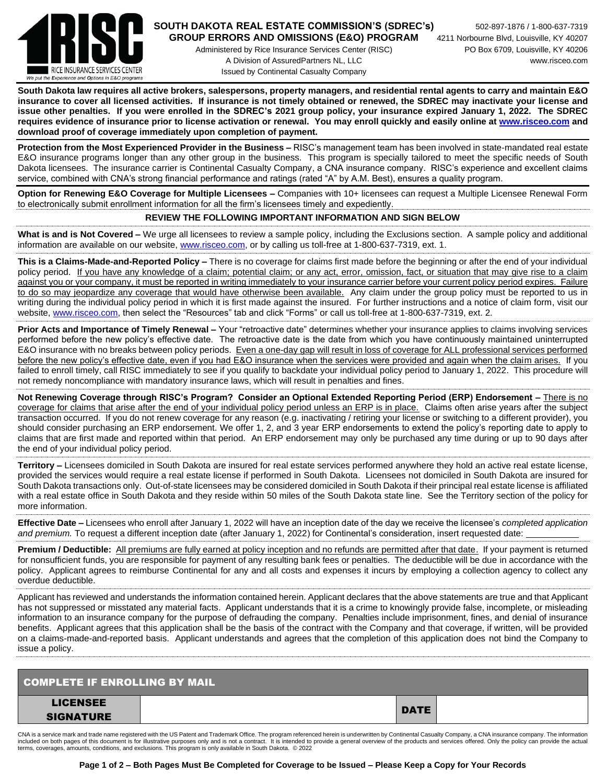

## **SOUTH DAKOTA REAL ESTATE COMMISSION'S (SDREC's)** 502-897-1876 / 1-800-637-7319 **GROUP ERRORS AND OMISSIONS (E&O) PROGRAM** 4211 Norbourne Blvd, Louisville, KY 40207

Administered by Rice Insurance Services Center (RISC) PO Box 6709, Louisville, KY 40206 A Division of AssuredPartners NL, LLC www.risceo.com Issued by Continental Casualty Company

**South Dakota law requires all active brokers, salespersons, property managers, and residential rental agents to carry and maintain E&O insurance to cover all licensed activities. If insurance is not timely obtained or renewed, the SDREC may inactivate your license and issue other penalties. If you were enrolled in the SDREC's 2021 group policy, your insurance expired January 1, 2022. The SDREC requires evidence of insurance prior to license activation or renewal. You may enroll quickly and easily online a[t www.risceo.com](http://www.risceo.com/) and download proof of coverage immediately upon completion of payment.** 

**Protection from the Most Experienced Provider in the Business –** RISC's management team has been involved in state-mandated real estate E&O insurance programs longer than any other group in the business. This program is specially tailored to meet the specific needs of South Dakota licensees. The insurance carrier is Continental Casualty Company, a CNA insurance company. RISC's experience and excellent claims service, combined with CNA's strong financial performance and ratings (rated "A" by A.M. Best), ensures a quality program.

**Option for Renewing E&O Coverage for Multiple Licensees –** Companies with 10+ licensees can request a Multiple Licensee Renewal Form to electronically submit enrollment information for all the firm's licensees timely and expediently.

## **REVIEW THE FOLLOWING IMPORTANT INFORMATION AND SIGN BELOW**

**What is and is Not Covered –** We urge all licensees to review a sample policy, including the Exclusions section. A sample policy and additional information are available on our website, [www.risceo.com,](http://www.risceo.com/) or by calling us toll-free at 1-800-637-7319, ext. 1.

**This is a Claims-Made-and-Reported Policy –** There is no coverage for claims first made before the beginning or after the end of your individual policy period. If you have any knowledge of a claim; potential claim; or any act, error, omission, fact, or situation that may give rise to a claim against you or your company, it must be reported in writing immediately to your insurance carrier before your current policy period expires. Failure to do so may jeopardize any coverage that would have otherwise been available. Any claim under the group policy must be reported to us in writing during the individual policy period in which it is first made against the insured. For further instructions and a notice of claim form, visit our website, [www.risceo.com,](http://www.risceo.com/notice-of-claim-form) then select the "Resources" tab and click "Forms" or call us toll-free at 1-800-637-7319, ext. 2.

**Prior Acts and Importance of Timely Renewal –** Your "retroactive date" determines whether your insurance applies to claims involving services performed before the new policy's effective date. The retroactive date is the date from which you have continuously maintained uninterrupted E&O insurance with no breaks between policy periods. Even a one-day gap will result in loss of coverage for ALL professional services performed before the new policy's effective date, even if you had E&O insurance when the services were provided and again when the claim arises. If you failed to enroll timely, call RISC immediately to see if you qualify to backdate your individual policy period to January 1, 2022. This procedure will not remedy noncompliance with mandatory insurance laws, which will result in penalties and fines.

**Not Renewing Coverage through RISC's Program? Consider an Optional Extended Reporting Period (ERP) Endorsement –** There is no coverage for claims that arise after the end of your individual policy period unless an ERP is in place. Claims often arise years after the subject transaction occurred. If you do not renew coverage for any reason (e.g. inactivating / retiring your license or switching to a different provider), you should consider purchasing an ERP endorsement. We offer 1, 2, and 3 year ERP endorsements to extend the policy's reporting date to apply to claims that are first made and reported within that period. An ERP endorsement may only be purchased any time during or up to 90 days after the end of your individual policy period.

**Territory –** Licensees domiciled in South Dakota are insured for real estate services performed anywhere they hold an active real estate license, provided the services would require a real estate license if performed in South Dakota. Licensees not domiciled in South Dakota are insured for South Dakota transactions only. Out-of-state licensees may be considered domiciled in South Dakota if their principal real estate license is affiliated with a real estate office in South Dakota and they reside within 50 miles of the South Dakota state line. See the Territory section of the policy for more information.

**Effective Date –** Licensees who enroll after January 1, 2022 will have an inception date of the day we receive the licensee's *completed application and premium.* To request a different inception date (after January 1, 2022) for Continental's consideration, insert requested date:

**Premium / Deductible:** All premiums are fully earned at policy inception and no refunds are permitted after that date. If your payment is returned for nonsufficient funds, you are responsible for payment of any resulting bank fees or penalties. The deductible will be due in accordance with the policy. Applicant agrees to reimburse Continental for any and all costs and expenses it incurs by employing a collection agency to collect any overdue deductible.

Applicant has reviewed and understands the information contained herein. Applicant declares that the above statements are true and that Applicant has not suppressed or misstated any material facts. Applicant understands that it is a crime to knowingly provide false, incomplete, or misleading information to an insurance company for the purpose of defrauding the company. Penalties include imprisonment, fines, and denial of insurance benefits. Applicant agrees that this application shall be the basis of the contract with the Company and that coverage, if written, will be provided on a claims-made-and-reported basis. Applicant understands and agrees that the completion of this application does not bind the Company to issue a policy.

| <b>COMPLETE IF ENROLLING BY MAIL</b> |             |  |  |  |  |  |  |
|--------------------------------------|-------------|--|--|--|--|--|--|
| <b>LICENSEE</b>                      | <b>DATE</b> |  |  |  |  |  |  |
| <b>SIGNATURE</b>                     |             |  |  |  |  |  |  |

CNA is a service mark and trade name registered with the US Patent and Trademark Office. The program referenced herein is underwritten by Continental Casualty Company, a CNA insurance company. The information included on both pages of this document is for illustrative purposes only and is not a contract. It is intended to provide a general overview of the products and services offered. Only the policy can provide the actual<br>ter